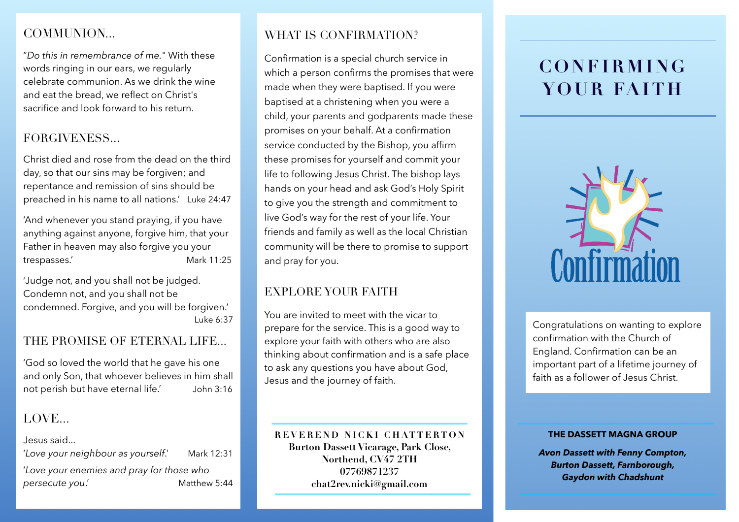## COMMUNION...

"*Do this in remembrance of me.*" With these words ringing in our ears, we regularly celebrate communion. As we drink the wine and eat the bread, we reflect on Christ's sacrifice and look forward to his return.

## FORGIVENESS...

Christ died and rose from the dead on the third day, so that our sins may be forgiven; and repentance and remission of sins should be preached in his name to all nations.' Luke 24:47

'And whenever you stand praying, if you have anything against anyone, forgive him, that your Father in heaven may also forgive you your trespasses.' Mark 11:25

'Judge not, and you shall not be judged. Condemn not, and you shall not be condemned. Forgive, and you will be forgiven.' Luke 6:37

### THE PROMISE OF ETERNAL LIFE...

'God so loved the world that he gave his one and only Son, that whoever believes in him shall not perish but have eternal life.' John 3:16

## LOVE.

Jesus said...

'*Love your neighbour as yourself*.' Mark 12:31 '*Love your enemies and pray for those who persecute you*.' Matthew 5:44 WHAT IS CONFIRMATION?

Confirmation is a special church service in which a person confirms the promises that were made when they were baptised. If you were baptised at a christening when you were a child, your parents and godparents made these promises on your behalf. At a confirmation service conducted by the Bishop, you affirm these promises for yourself and commit your life to following Jesus Christ. The bishop lays hands on your head and ask God's Holy Spirit to give you the strength and commitment to live God's way for the rest of your life. Your friends and family as well as the local Christian community will be there to promise to support and pray for you.

## EXPLORE YOUR FAITH

You are invited to meet with the vicar to prepare for the service. This is a good way to explore your faith with others who are also thinking about confirmation and is a safe place to ask any questions you have about God, Jesus and the journey of faith.

**REVEREND NICKI CHATTERTON Burton Dassett Vicarage, Park Close, Northend, CV47 2TH 07769871237 chat2rev.nicki@gmail.com**

# **CONFIRMING YOUR FAITH**



Congratulations on wanting to explore confirmation with the Church of England. Confirmation can be an important part of a lifetime journey of faith as a follower of Jesus Christ.

#### **THE DASSETT MAGNA GROUP**

*Avon Dassett with Fenny Compton, Burton Dassett, Farnborough, Gaydon with Chadshunt*